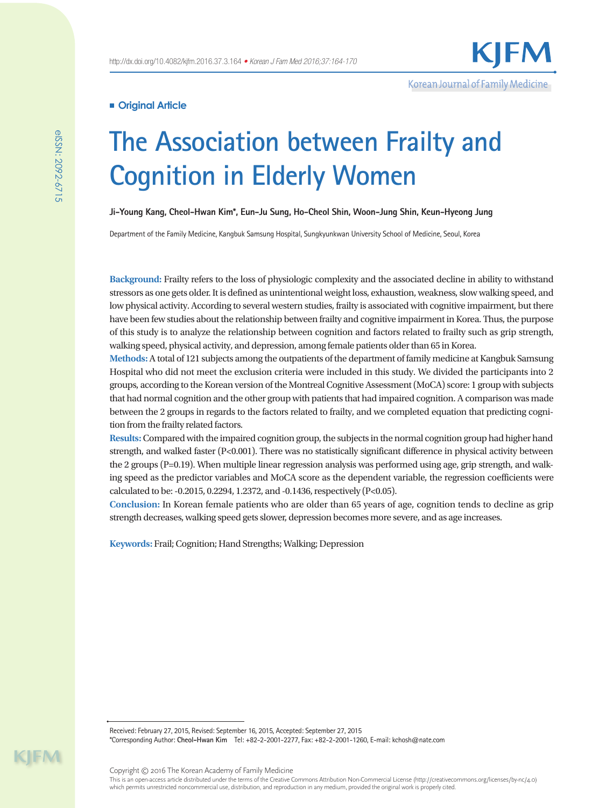# **Original Article**

# **The Association between Frailty and Cognition in Elderly Women**

**Ji-Young Kang, Cheol-Hwan Kim\*, Eun-Ju Sung, Ho-Cheol Shin, Woon-Jung Shin, Keun-Hyeong Jung**

Department of the Family Medicine, Kangbuk Samsung Hospital, Sungkyunkwan University School of Medicine, Seoul, Korea

**Background:** Frailty refers to the loss of physiologic complexity and the associated decline in ability to withstand stressors as one gets older. It is defined as unintentional weight loss, exhaustion, weakness, slow walking speed, and low physical activity. According to several western studies, frailty is associated with cognitive impairment, but there have been few studies about the relationship between frailty and cognitive impairment in Korea. Thus, the purpose of this study is to analyze the relationship between cognition and factors related to frailty such as grip strength, walking speed, physical activity, and depression, among female patients older than 65 in Korea.

**Methods:** A total of 121 subjects among the outpatients of the department of family medicine at Kangbuk Samsung Hospital who did not meet the exclusion criteria were included in this study. We divided the participants into 2 groups, according to the Korean version of the Montreal Cognitive Assessment (MoCA) score: 1 group with subjects that had normal cognition and the other group with patients that had impaired cognition. A comparison was made between the 2 groups in regards to the factors related to frailty, and we completed equation that predicting cognition from the frailty related factors.

**Results:** Compared with the impaired cognition group, the subjects in the normal cognition group had higher hand strength, and walked faster (P<0.001). There was no statistically significant difference in physical activity between the 2 groups (P=0.19). When multiple linear regression analysis was performed using age, grip strength, and walking speed as the predictor variables and MoCA score as the dependent variable, the regression coefficients were calculated to be: -0.2015, 0.2294, 1.2372, and -0.1436, respectively (P<0.05).

**Conclusion:** In Korean female patients who are older than 65 years of age, cognition tends to decline as grip strength decreases, walking speed gets slower, depression becomes more severe, and as age increases.

**Keywords:** Frail; Cognition; Hand Strengths; Walking; Depression

Received: February 27, 2015, Revised: September 16, 2015, Accepted: September 27, 2015

\*Corresponding Author: **Cheol-Hwan Kim** Tel: +82-2-2001-2277, Fax: +82-2-2001-1260, E-mail: kchosh@nate.com

 $\mathsf{I}\mathsf{F}\mathsf{M}$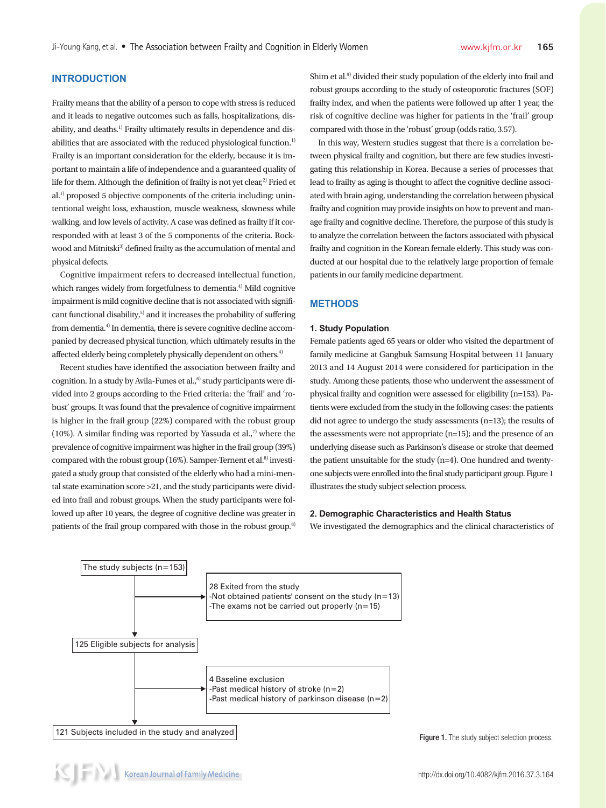# **INTRODUCTION**

Frailty means that the ability of a person to cope with stress is reduced and it leads to negative outcomes such as falls, hospitalizations, disability, and deaths.<sup>1)</sup> Frailty ultimately results in dependence and disabilities that are associated with the reduced physiological function.<sup>1)</sup> Frailty is an important consideration for the elderly, because it is important to maintain a life of independence and a guaranteed quality of life for them. Although the definition of frailty is not yet clear, $2$ ) Fried et al.1) proposed 5 objective components of the criteria including: unintentional weight loss, exhaustion, muscle weakness, slowness while walking, and low levels of activity. A case was defined as frailty if it corresponded with at least 3 of the 5 components of the criteria. Rockwood and Mitnitski<sup>3)</sup> defined frailty as the accumulation of mental and physical defects.

Cognitive impairment refers to decreased intellectual function, which ranges widely from forgetfulness to dementia.<sup>4)</sup> Mild cognitive impairment is mild cognitive decline that is not associated with significant functional disability, $5$  and it increases the probability of suffering from dementia.<sup>4)</sup> In dementia, there is severe cognitive decline accompanied by decreased physical function, which ultimately results in the affected elderly being completely physically dependent on others.<sup>4)</sup>

Recent studies have identified the association between frailty and cognition. In a study by Avila-Funes et al.,<sup>6)</sup> study participants were divided into 2 groups according to the Fried criteria: the 'frail' and 'robust' groups. It was found that the prevalence of cognitive impairment is higher in the frail group (22%) compared with the robust group (10%). A similar finding was reported by Yassuda et al., $7$  where the prevalence of cognitive impairment was higher in the frail group (39%) compared with the robust group (16%). Samper-Ternent et al.<sup>8)</sup> investigated a study group that consisted of the elderly who had a mini-mental state examination score >21, and the study participants were divided into frail and robust groups. When the study participants were followed up after 10 years, the degree of cognitive decline was greater in patients of the frail group compared with those in the robust group.<sup>8)</sup> Shim et al.<sup>9)</sup> divided their study population of the elderly into frail and robust groups according to the study of osteoporotic fractures (SOF) frailty index, and when the patients were followed up after 1 year, the risk of cognitive decline was higher for patients in the 'frail' group compared with those in the 'robust' group (odds ratio, 3.57).

In this way, Western studies suggest that there is a correlation between physical frailty and cognition, but there are few studies investigating this relationship in Korea. Because a series of processes that lead to frailty as aging is thought to affect the cognitive decline associated with brain aging, understanding the correlation between physical frailty and cognition may provide insights on how to prevent and manage frailty and cognitive decline. Therefore, the purpose of this study is to analyze the correlation between the factors associated with physical frailty and cognition in the Korean female elderly. This study was conducted at our hospital due to the relatively large proportion of female patients in our family medicine department.

## **METHODS**

#### **1. Study Population**

Female patients aged 65 years or older who visited the department of family medicine at Gangbuk Samsung Hospital between 11 January 2013 and 14 August 2014 were considered for participation in the study. Among these patients, those who underwent the assessment of physical frailty and cognition were assessed for eligibility (n=153). Patients were excluded from the study in the following cases: the patients did not agree to undergo the study assessments (n=13); the results of the assessments were not appropriate (n=15); and the presence of an underlying disease such as Parkinson's disease or stroke that deemed the patient unsuitable for the study (n=4). One hundred and twentyone subjects were enrolled into the final study participant group. Figure 1 illustrates the study subject selection process.

# **2. Demographic Characteristics and Health Status**

We investigated the demographics and the clinical characteristics of



Figure 1. The study subject selection process.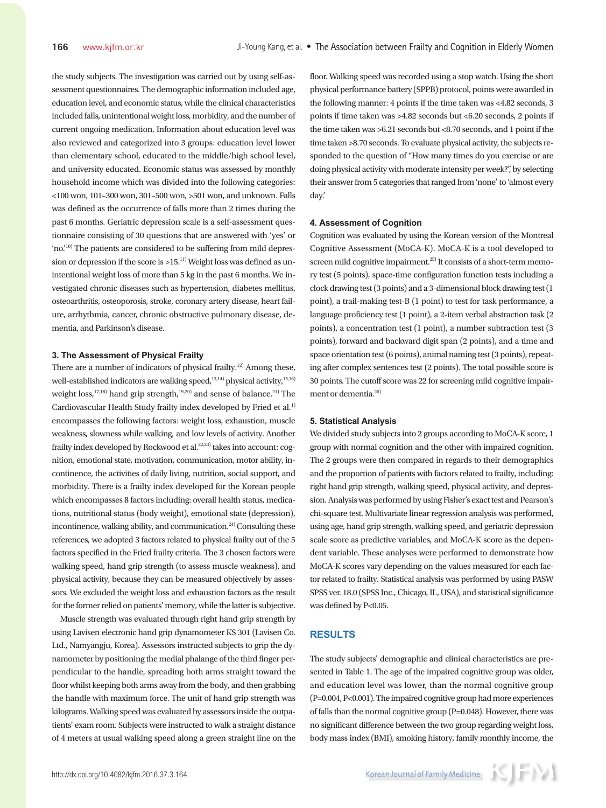the study subjects. The investigation was carried out by using self-assessment questionnaires. The demographic information included age, education level, and economic status, while the clinical characteristics included falls, unintentional weight loss, morbidity, and the number of current ongoing medication. Information about education level was also reviewed and categorized into 3 groups: education level lower than elementary school, educated to the middle/high school level, and university educated. Economic status was assessed by monthly household income which was divided into the following categories: <100 won, 101–300 won, 301–500 won, >501 won, and unknown. Falls was defined as the occurrence of falls more than 2 times during the past 6 months. Geriatric depression scale is a self-assessment questionnaire consisting of 30 questions that are answered with 'yes' or 'no.'10) The patients are considered to be suffering from mild depression or depression if the score is  $>15$ .<sup>11)</sup> Weight loss was defined as unintentional weight loss of more than 5 kg in the past 6 months. We investigated chronic diseases such as hypertension, diabetes mellitus, osteoarthritis, osteoporosis, stroke, coronary artery disease, heart failure, arrhythmia, cancer, chronic obstructive pulmonary disease, dementia, and Parkinson's disease.

## **3. The Assessment of Physical Frailty**

There are a number of indicators of physical frailty.<sup>12)</sup> Among these, well-established indicators are walking speed,<sup>13,14)</sup> physical activity,<sup>15,16)</sup> weight loss,<sup>17,18)</sup> hand grip strength,<sup>19,20)</sup> and sense of balance.<sup>21)</sup> The Cardiovascular Health Study frailty index developed by Fried et al.<sup>1)</sup> encompasses the following factors: weight loss, exhaustion, muscle weakness, slowness while walking, and low levels of activity. Another frailty index developed by Rockwood et al.<sup>22,23)</sup> takes into account: cognition, emotional state, motivation, communication, motor ability, incontinence, the activities of daily living, nutrition, social support, and morbidity. There is a frailty index developed for the Korean people which encompasses 8 factors including: overall health status, medications, nutritional status (body weight), emotional state (depression), incontinence, walking ability, and communication.<sup>24)</sup> Consulting these references, we adopted 3 factors related to physical frailty out of the 5 factors specified in the Fried frailty criteria. The 3 chosen factors were walking speed, hand grip strength (to assess muscle weakness), and physical activity, because they can be measured objectively by assessors. We excluded the weight loss and exhaustion factors as the result for the former relied on patients' memory, while the latter is subjective.

Muscle strength was evaluated through right hand grip strength by using Lavisen electronic hand grip dynamometer KS 301 (Lavisen Co. Ltd., Namyangju, Korea). Assessors instructed subjects to grip the dynamometer by positioning the medial phalange of the third finger perpendicular to the handle, spreading both arms straight toward the floor whilst keeping both arms away from the body, and then grabbing the handle with maximum force. The unit of hand grip strength was kilograms. Walking speed was evaluated by assessors inside the outpatients' exam room. Subjects were instructed to walk a straight distance of 4 meters at usual walking speed along a green straight line on the floor. Walking speed was recorded using a stop watch. Using the short physical performance battery (SPPB) protocol, points were awarded in the following manner: 4 points if the time taken was <4.82 seconds, 3 points if time taken was >4.82 seconds but <6.20 seconds, 2 points if the time taken was >6.21 seconds but <8.70 seconds, and 1 point if the time taken >8.70 seconds. To evaluate physical activity, the subjects responded to the question of "How many times do you exercise or are doing physical activity with moderate intensity per week?", by selecting their answer from 5 categories that ranged from 'none' to 'almost every day.'

### **4. Assessment of Cognition**

Cognition was evaluated by using the Korean version of the Montreal Cognitive Assessment (MoCA-K). MoCA-K is a tool developed to screen mild cognitive impairment.<sup>25)</sup> It consists of a short-term memory test (5 points), space-time configuration function tests including a clock drawing test (3 points) and a 3-dimensional block drawing test (1 point), a trail-making test-B (1 point) to test for task performance, a language proficiency test (1 point), a 2-item verbal abstraction task (2 points), a concentration test (1 point), a number subtraction test (3 points), forward and backward digit span (2 points), and a time and space orientation test (6 points), animal naming test (3 points), repeating after complex sentences test (2 points). The total possible score is 30 points. The cutoff score was 22 for screening mild cognitive impairment or dementia.<sup>26)</sup>

#### **5. Statistical Analysis**

We divided study subjects into 2 groups according to MoCA-K score, 1 group with normal cognition and the other with impaired cognition. The 2 groups were then compared in regards to their demographics and the proportion of patients with factors related to frailty, including: right hand grip strength, walking speed, physical activity, and depression. Analysis was performed by using Fisher's exact test and Pearson's chi-square test. Multivariate linear regression analysis was performed, using age, hand grip strength, walking speed, and geriatric depression scale score as predictive variables, and MoCA-K score as the dependent variable. These analyses were performed to demonstrate how MoCA-K scores vary depending on the values measured for each factor related to frailty. Statistical analysis was performed by using PASW SPSS ver. 18.0 (SPSS Inc., Chicago, IL, USA), and statistical significance was defined by P<0.05.

## **RESULTS**

The study subjects' demographic and clinical characteristics are presented in Table 1. The age of the impaired cognitive group was older, and education level was lower, than the normal cognitive group (P=0.004, P<0.001). The impaired cognitive group had more experiences of falls than the normal cognitive group (P=0.048). However, there was no significant difference between the two group regarding weight loss, body mass index (BMI), smoking history, family monthly income, the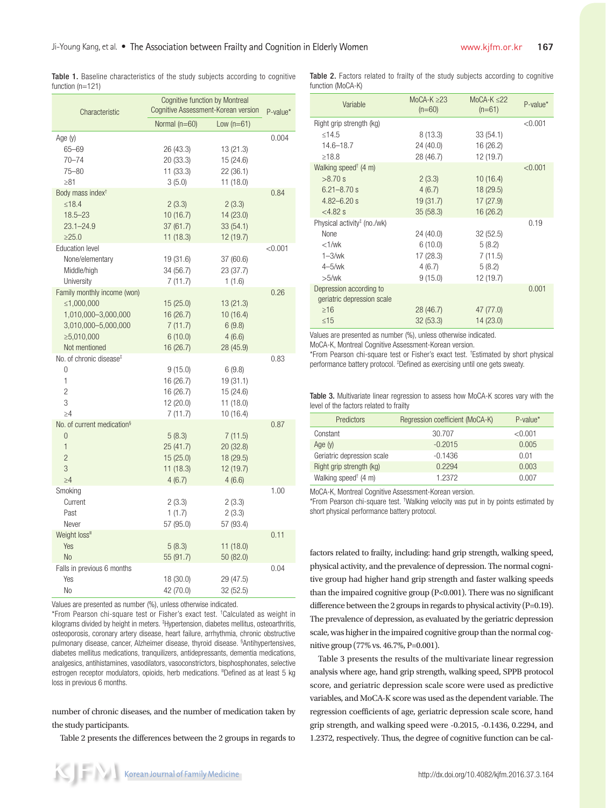Table 1. Baseline characteristics of the study subjects according to cognitive function (n=121)

| Characteristic                                                                                                         | <b>Cognitive function by Montreal</b><br>Cognitive Assessment-Korean version |                                                            | P-value* |
|------------------------------------------------------------------------------------------------------------------------|------------------------------------------------------------------------------|------------------------------------------------------------|----------|
|                                                                                                                        | Normal (n=60)                                                                | Low $(n=61)$                                               |          |
| Age (y)<br>$65 - 69$<br>$70 - 74$<br>75-80                                                                             | 26 (43.3)<br>20 (33.3)<br>11(33.3)                                           | 13 (21.3)<br>15 (24.6)<br>22(36.1)                         | 0.004    |
| $\geq 81$                                                                                                              | 3(5.0)                                                                       | 11 (18.0)                                                  |          |
| Body mass index <sup>+</sup><br>$\leq 18.4$<br>$18.5 - 23$<br>$23.1 - 24.9$<br>>25.0                                   | 2(3.3)<br>10(16.7)<br>37 (61.7)<br>11(18.3)                                  | 2(3.3)<br>14 (23.0)<br>33(54.1)<br>12 (19.7)               | 0.84     |
| <b>Education level</b><br>None/elementary<br>Middle/high<br>University                                                 | 19 (31.6)<br>34 (56.7)<br>7(11.7)                                            | 37(60.6)<br>23 (37.7)<br>1(1.6)                            | < 0.001  |
| Family monthly income (won)<br>≤1,000,000<br>1,010,000-3,000,000<br>3,010,000-5,000,000<br>≥5,010,000<br>Not mentioned | 15 (25.0)<br>16(26.7)<br>7(11.7)<br>6(10.0)<br>16(26.7)                      | 13 (21.3)<br>10(16.4)<br>6(9.8)<br>4(6.6)<br>28 (45.9)     | 0.26     |
| No. of chronic disease <sup>‡</sup><br>$\Omega$<br>1<br>$\overline{c}$<br>3<br>>4                                      | 9(15.0)<br>16 (26.7)<br>16 (26.7)<br>12(20.0)<br>7(11.7)                     | 6(9.8)<br>19 (31.1)<br>15 (24.6)<br>11 (18.0)<br>10 (16.4) | 0.83     |
| No. of current medication <sup>§</sup><br>$\Omega$<br>$\mathbf{1}$<br>$\overline{2}$<br>3<br>$\geq 4$                  | 5(8.3)<br>25(41.7)<br>15(25.0)<br>11(18.3)<br>4(6.7)                         | 7(11.5)<br>20 (32.8)<br>18 (29.5)<br>12 (19.7)<br>4(6.6)   | 0.87     |
| Smoking<br>Current<br>Past<br>Never                                                                                    | 2(3.3)<br>1(1.7)<br>57 (95.0)                                                | 2(3.3)<br>2(3.3)<br>57 (93.4)                              | 1.00     |
| Weight loss"<br>Yes<br>N <sub>o</sub>                                                                                  | 5(8.3)<br>55 (91.7)                                                          | 11(18.0)<br>50 (82.0)                                      | 0.11     |
| Falls in previous 6 months<br>Yes<br>No                                                                                | 18 (30.0)<br>42 (70.0)                                                       | 29 (47.5)<br>32 (52.5)                                     | 0.04     |

Values are presented as number (%), unless otherwise indicated.

\*From Pearson chi-square test or Fisher's exact test. † Calculated as weight in kilograms divided by height in meters. ‡ Hypertension, diabetes mellitus, osteoarthritis, osteoporosis, coronary artery disease, heart failure, arrhythmia, chronic obstructive pulmonary disease, cancer, Alzheimer disease, thyroid disease. § Antihypertensives, diabetes mellitus medications, tranquilizers, antidepressants, dementia medications, analgesics, antihistamines, vasodilators, vasoconstrictors, bisphosphonates, selective estrogen receptor modulators, opioids, herb medications. "Defined as at least 5 kg loss in previous 6 months.

number of chronic diseases, and the number of medication taken by the study participants.

Table 2 presents the differences between the 2 groups in regards to

Table 2. Factors related to frailty of the study subjects according to cognitive function (MoCA-K)

| Variable                                              | MoCA-K $\geq$ 23<br>$(n=60)$ | MoCA-K $\leq$ 22<br>$(n=61)$ | $P-value*$ |
|-------------------------------------------------------|------------------------------|------------------------------|------------|
| Right grip strength (kg)                              |                              |                              | < 0.001    |
| $<$ 14.5                                              | 8(13.3)                      | 33(54.1)                     |            |
| $14.6 - 18.7$                                         | 24(40.0)                     | 16 (26.2)                    |            |
| $\geq 18.8$                                           | 28 (46.7)                    | 12 (19.7)                    |            |
| Walking speed <sup>†</sup> (4 m)                      |                              |                              | < 0.001    |
| $>8.70$ s                                             | 2(3.3)                       | 10(16.4)                     |            |
| $6.21 - 8.70$ s                                       | 4(6.7)                       | 18(29.5)                     |            |
| $4.82 - 6.20$ s                                       | 19(31.7)                     | 17(27.9)                     |            |
| $<4.82$ s                                             | 35(58.3)                     | 16(26.2)                     |            |
| Physical activity <sup>#</sup> (no./wk)               |                              |                              | 0.19       |
| <b>None</b>                                           | 24 (40.0)                    | 32(52.5)                     |            |
| $<1$ /wk                                              | 6(10.0)                      | 5(8.2)                       |            |
| $1 - 3$ /wk                                           | 17(28.3)                     | 7(11.5)                      |            |
| $4 - 5$ /wk                                           | 4(6.7)                       | 5(8.2)                       |            |
| $>5$ /wk                                              | 9(15.0)                      | 12 (19.7)                    |            |
| Depression according to<br>geriatric depression scale |                              |                              | 0.001      |
| $\geq 16$                                             | 28 (46.7)                    | 47 (77.0)                    |            |
| ≤15                                                   | 32(53.3)                     | 14(23.0)                     |            |
|                                                       |                              |                              |            |

Values are presented as number (%), unless otherwise indicated.

MoCA-K, Montreal Cognitive Assessment-Korean version.

\*From Pearson chi-square test or Fisher's exact test. † Estimated by short physical performance battery protocol. ‡ Defined as exercising until one gets sweaty.

Table 3. Multivariate linear regression to assess how MoCA-K scores vary with the level of the factors related to frailty

| <b>Predictors</b>                | Regression coefficient (MoCA-K) | $P-value^*$ |
|----------------------------------|---------------------------------|-------------|
| Constant                         | 30.707                          | < 0.001     |
| Age $(y)$                        | $-0.2015$                       | 0.005       |
| Geriatric depression scale       | $-0.1436$                       | 0.01        |
| Right grip strength (kg)         | 0.2294                          | 0.003       |
| Walking speed <sup>†</sup> (4 m) | 1.2372                          | 0.007       |

MoCA-K, Montreal Cognitive Assessment-Korean version.

\*From Pearson chi-square test. † Walking velocity was put in by points estimated by short physical performance battery protocol.

factors related to frailty, including: hand grip strength, walking speed, physical activity, and the prevalence of depression. The normal cognitive group had higher hand grip strength and faster walking speeds than the impaired cognitive group (P<0.001). There was no significant difference between the 2 groups in regards to physical activity  $(P=0.19)$ . The prevalence of depression, as evaluated by the geriatric depression scale, was higher in the impaired cognitive group than the normal cognitive group (77% vs. 46.7%, P=0.001).

Table 3 presents the results of the multivariate linear regression analysis where age, hand grip strength, walking speed, SPPB protocol score, and geriatric depression scale score were used as predictive variables, and MoCA-K score was used as the dependent variable. The regression coefficients of age, geriatric depression scale score, hand grip strength, and walking speed were -0.2015, -0.1436, 0.2294, and 1.2372, respectively. Thus, the degree of cognitive function can be cal-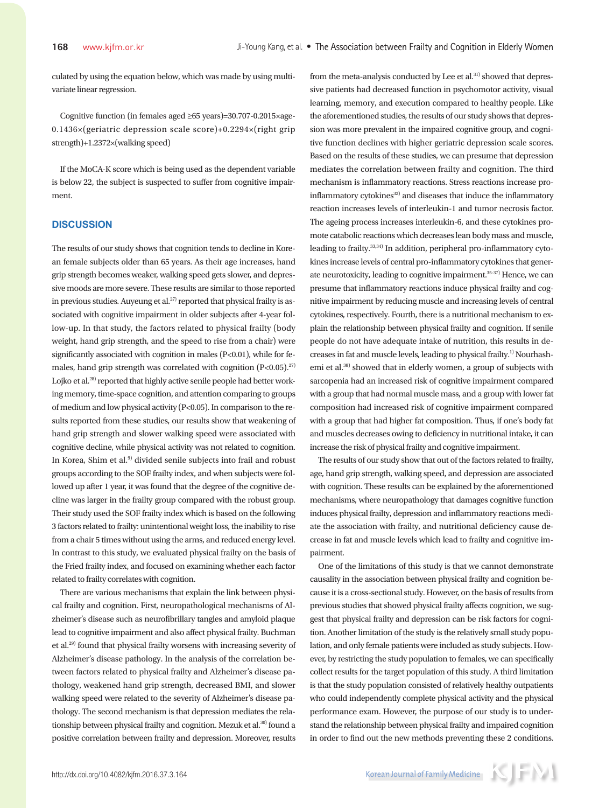culated by using the equation below, which was made by using multivariate linear regression.

Cognitive function (in females aged ≥65 years)=30.707-0.2015×age-0.1436×(geriatric depression scale score)+0.2294×(right grip strength)+1.2372×(walking speed)

If the MoCA-K score which is being used as the dependent variable is below 22, the subject is suspected to suffer from cognitive impairment.

# **DISCUSSION**

The results of our study shows that cognition tends to decline in Korean female subjects older than 65 years. As their age increases, hand grip strength becomes weaker, walking speed gets slower, and depressive moods are more severe. These results are similar to those reported in previous studies. Auyeung et al.<sup>27)</sup> reported that physical frailty is associated with cognitive impairment in older subjects after 4-year follow-up. In that study, the factors related to physical frailty (body weight, hand grip strength, and the speed to rise from a chair) were significantly associated with cognition in males (P<0.01), while for females, hand grip strength was correlated with cognition  $(P<0.05)$ .<sup>27)</sup> Lojko et al.<sup>28)</sup> reported that highly active senile people had better working memory, time-space cognition, and attention comparing to groups of medium and low physical activity (P<0.05). In comparison to the results reported from these studies, our results show that weakening of hand grip strength and slower walking speed were associated with cognitive decline, while physical activity was not related to cognition. In Korea, Shim et al.<sup>9)</sup> divided senile subjects into frail and robust groups according to the SOF frailty index, and when subjects were followed up after 1 year, it was found that the degree of the cognitive decline was larger in the frailty group compared with the robust group. Their study used the SOF frailty index which is based on the following 3 factors related to frailty: unintentional weight loss, the inability to rise from a chair 5 times without using the arms, and reduced energy level. In contrast to this study, we evaluated physical frailty on the basis of the Fried frailty index, and focused on examining whether each factor related to frailty correlates with cognition.

There are various mechanisms that explain the link between physical frailty and cognition. First, neuropathological mechanisms of Alzheimer's disease such as neurofibrillary tangles and amyloid plaque lead to cognitive impairment and also affect physical frailty. Buchman et al.29) found that physical frailty worsens with increasing severity of Alzheimer's disease pathology. In the analysis of the correlation between factors related to physical frailty and Alzheimer's disease pathology, weakened hand grip strength, decreased BMI, and slower walking speed were related to the severity of Alzheimer's disease pathology. The second mechanism is that depression mediates the relationship between physical frailty and cognition. Mezuk et al.<sup>30)</sup> found a positive correlation between frailty and depression. Moreover, results

from the meta-analysis conducted by Lee et al.<sup>31)</sup> showed that depressive patients had decreased function in psychomotor activity, visual learning, memory, and execution compared to healthy people. Like the aforementioned studies, the results of our study shows that depression was more prevalent in the impaired cognitive group, and cognitive function declines with higher geriatric depression scale scores. Based on the results of these studies, we can presume that depression mediates the correlation between frailty and cognition. The third mechanism is inflammatory reactions. Stress reactions increase proinflammatory cytokines<sup>32)</sup> and diseases that induce the inflammatory reaction increases levels of interleukin-1 and tumor necrosis factor. The ageing process increases interleukin-6, and these cytokines promote catabolic reactions which decreases lean body mass and muscle, leading to frailty.33,34) In addition, peripheral pro-inflammatory cytokines increase levels of central pro-inflammatory cytokines that generate neurotoxicity, leading to cognitive impairment.<sup>35-37)</sup> Hence, we can presume that inflammatory reactions induce physical frailty and cognitive impairment by reducing muscle and increasing levels of central cytokines, respectively. Fourth, there is a nutritional mechanism to explain the relationship between physical frailty and cognition. If senile people do not have adequate intake of nutrition, this results in decreases in fat and muscle levels, leading to physical frailty.<sup>1)</sup> Nourhashemi et al.<sup>38)</sup> showed that in elderly women, a group of subjects with sarcopenia had an increased risk of cognitive impairment compared with a group that had normal muscle mass, and a group with lower fat composition had increased risk of cognitive impairment compared with a group that had higher fat composition. Thus, if one's body fat and muscles decreases owing to deficiency in nutritional intake, it can increase the risk of physical frailty and cognitive impairment.

The results of our study show that out of the factors related to frailty, age, hand grip strength, walking speed, and depression are associated with cognition. These results can be explained by the aforementioned mechanisms, where neuropathology that damages cognitive function induces physical frailty, depression and inflammatory reactions mediate the association with frailty, and nutritional deficiency cause decrease in fat and muscle levels which lead to frailty and cognitive impairment.

One of the limitations of this study is that we cannot demonstrate causality in the association between physical frailty and cognition because it is a cross-sectional study. However, on the basis of results from previous studies that showed physical frailty affects cognition, we suggest that physical frailty and depression can be risk factors for cognition. Another limitation of the study is the relatively small study population, and only female patients were included as study subjects. However, by restricting the study population to females, we can specifically collect results for the target population of this study. A third limitation is that the study population consisted of relatively healthy outpatients who could independently complete physical activity and the physical performance exam. However, the purpose of our study is to understand the relationship between physical frailty and impaired cognition in order to find out the new methods preventing these 2 conditions.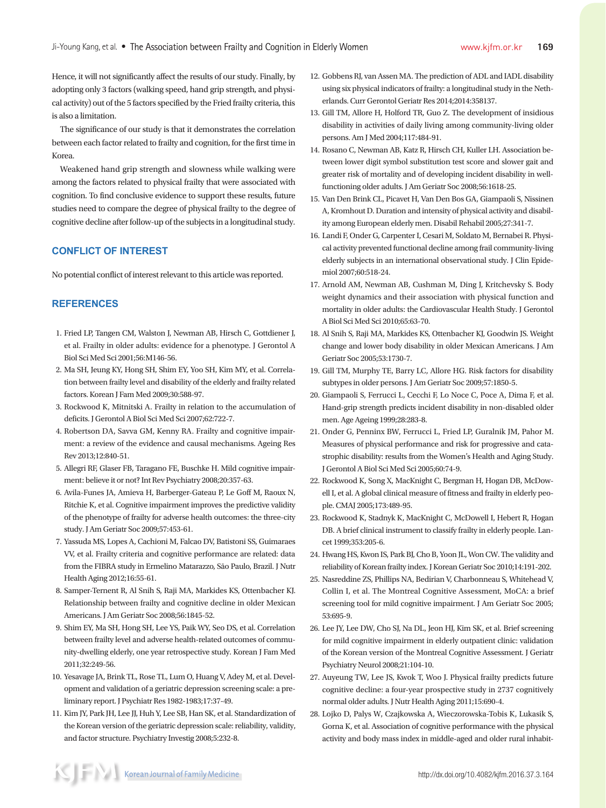Hence, it will not significantly affect the results of our study. Finally, by adopting only 3 factors (walking speed, hand grip strength, and physical activity) out of the 5 factors specified by the Fried frailty criteria, this is also a limitation.

The significance of our study is that it demonstrates the correlation between each factor related to frailty and cognition, for the first time in Korea.

Weakened hand grip strength and slowness while walking were among the factors related to physical frailty that were associated with cognition. To find conclusive evidence to support these results, future studies need to compare the degree of physical frailty to the degree of cognitive decline after follow-up of the subjects in a longitudinal study.

# **CONFLICT OF INTEREST**

No potential conflict of interest relevant to this article was reported.

# **REFERENCES**

- 1. Fried LP, Tangen CM, Walston J, Newman AB, Hirsch C, Gottdiener J, et al. Frailty in older adults: evidence for a phenotype. J Gerontol A Biol Sci Med Sci 2001;56:M146-56.
- 2. Ma SH, Jeung KY, Hong SH, Shim EY, Yoo SH, Kim MY, et al. Correlation between frailty level and disability of the elderly and frailty related factors. Korean J Fam Med 2009;30:588-97.
- 3. Rockwood K, Mitnitski A. Frailty in relation to the accumulation of deficits. J Gerontol A Biol Sci Med Sci 2007;62:722-7.
- 4. Robertson DA, Savva GM, Kenny RA. Frailty and cognitive impairment: a review of the evidence and causal mechanisms. Ageing Res Rev 2013;12:840-51.
- 5. Allegri RF, Glaser FB, Taragano FE, Buschke H. Mild cognitive impairment: believe it or not? Int Rev Psychiatry 2008;20:357-63.
- 6. Avila-Funes JA, Amieva H, Barberger-Gateau P, Le Goff M, Raoux N, Ritchie K, et al. Cognitive impairment improves the predictive validity of the phenotype of frailty for adverse health outcomes: the three-city study. J Am Geriatr Soc 2009;57:453-61.
- 7. Yassuda MS, Lopes A, Cachioni M, Falcao DV, Batistoni SS, Guimaraes VV, et al. Frailty criteria and cognitive performance are related: data from the FIBRA study in Ermelino Matarazzo, São Paulo, Brazil. J Nutr Health Aging 2012;16:55-61.
- 8. Samper-Ternent R, Al Snih S, Raji MA, Markides KS, Ottenbacher KJ. Relationship between frailty and cognitive decline in older Mexican Americans. J Am Geriatr Soc 2008;56:1845-52.
- 9. Shim EY, Ma SH, Hong SH, Lee YS, Paik WY, Seo DS, et al. Correlation between frailty level and adverse health-related outcomes of community-dwelling elderly, one year retrospective study. Korean J Fam Med 2011;32:249-56.
- 10. Yesavage JA, Brink TL, Rose TL, Lum O, Huang V, Adey M, et al. Development and validation of a geriatric depression screening scale: a preliminary report. J Psychiatr Res 1982-1983;17:37-49.
- 11. Kim JY, Park JH, Lee JJ, Huh Y, Lee SB, Han SK, et al. Standardization of the Korean version of the geriatric depression scale: reliability, validity, and factor structure. Psychiatry Investig 2008;5:232-8.
- 12. Gobbens RJ, van Assen MA. The prediction of ADL and IADL disability using six physical indicators of frailty: a longitudinal study in the Netherlands. Curr Gerontol Geriatr Res 2014;2014:358137.
- 13. Gill TM, Allore H, Holford TR, Guo Z. The development of insidious disability in activities of daily living among community-living older persons. Am J Med 2004;117:484-91.
- 14. Rosano C, Newman AB, Katz R, Hirsch CH, Kuller LH. Association between lower digit symbol substitution test score and slower gait and greater risk of mortality and of developing incident disability in wellfunctioning older adults. J Am Geriatr Soc 2008;56:1618-25.
- 15. Van Den Brink CL, Picavet H, Van Den Bos GA, Giampaoli S, Nissinen A, Kromhout D. Duration and intensity of physical activity and disability among European elderly men. Disabil Rehabil 2005;27:341-7.
- 16. Landi F, Onder G, Carpenter I, Cesari M, Soldato M, Bernabei R. Physical activity prevented functional decline among frail community-living elderly subjects in an international observational study. J Clin Epidemiol 2007;60:518-24.
- 17. Arnold AM, Newman AB, Cushman M, Ding J, Kritchevsky S. Body weight dynamics and their association with physical function and mortality in older adults: the Cardiovascular Health Study. J Gerontol A Biol Sci Med Sci 2010;65:63-70.
- 18. Al Snih S, Raji MA, Markides KS, Ottenbacher KJ, Goodwin JS. Weight change and lower body disability in older Mexican Americans. J Am Geriatr Soc 2005;53:1730-7.
- 19. Gill TM, Murphy TE, Barry LC, Allore HG. Risk factors for disability subtypes in older persons. J Am Geriatr Soc 2009;57:1850-5.
- 20. Giampaoli S, Ferrucci L, Cecchi F, Lo Noce C, Poce A, Dima F, et al. Hand-grip strength predicts incident disability in non-disabled older men. Age Ageing 1999;28:283-8.
- 21. Onder G, Penninx BW, Ferrucci L, Fried LP, Guralnik JM, Pahor M. Measures of physical performance and risk for progressive and catastrophic disability: results from the Women's Health and Aging Study. J Gerontol A Biol Sci Med Sci 2005;60:74-9.
- 22. Rockwood K, Song X, MacKnight C, Bergman H, Hogan DB, McDowell I, et al. A global clinical measure of fitness and frailty in elderly people. CMAJ 2005;173:489-95.
- 23. Rockwood K, Stadnyk K, MacKnight C, McDowell I, Hebert R, Hogan DB. A brief clinical instrument to classify frailty in elderly people. Lancet 1999;353:205-6.
- 24. Hwang HS, Kwon IS, Park BJ, Cho B, Yoon JL, Won CW. The validity and reliability of Korean frailty index. J Korean Geriatr Soc 2010;14:191-202.
- 25. Nasreddine ZS, Phillips NA, Bedirian V, Charbonneau S, Whitehead V, Collin I, et al. The Montreal Cognitive Assessment, MoCA: a brief screening tool for mild cognitive impairment. J Am Geriatr Soc 2005; 53:695-9.
- 26. Lee JY, Lee DW, Cho SJ, Na DL, Jeon HJ, Kim SK, et al. Brief screening for mild cognitive impairment in elderly outpatient clinic: validation of the Korean version of the Montreal Cognitive Assessment. J Geriatr Psychiatry Neurol 2008;21:104-10.
- 27. Auyeung TW, Lee JS, Kwok T, Woo J. Physical frailty predicts future cognitive decline: a four-year prospective study in 2737 cognitively normal older adults. J Nutr Health Aging 2011;15:690-4.
- 28. Lojko D, Palys W, Czajkowska A, Wieczorowska-Tobis K, Lukasik S, Gorna K, et al. Association of cognitive performance with the physical activity and body mass index in middle-aged and older rural inhabit-